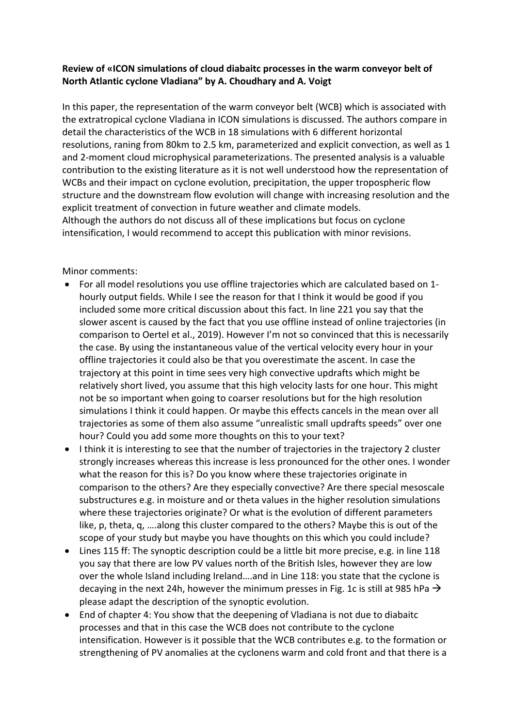## **Review of «ICON simulations of cloud diabaitc processes in the warm conveyor belt of North Atlantic cyclone Vladiana" by A. Choudhary and A. Voigt**

In this paper, the representation of the warm conveyor belt (WCB) which is associated with the extratropical cyclone Vladiana in ICON simulations is discussed. The authors compare in detail the characteristics of the WCB in 18 simulations with 6 different horizontal resolutions, raning from 80km to 2.5 km, parameterized and explicit convection, as well as 1 and 2-moment cloud microphysical parameterizations. The presented analysis is a valuable contribution to the existing literature as it is not well understood how the representation of WCBs and their impact on cyclone evolution, precipitation, the upper tropospheric flow structure and the downstream flow evolution will change with increasing resolution and the explicit treatment of convection in future weather and climate models. Although the authors do not discuss all of these implications but focus on cyclone intensification, I would recommend to accept this publication with minor revisions.

Minor comments:

- For all model resolutions you use offline trajectories which are calculated based on 1 hourly output fields. While I see the reason for that I think it would be good if you included some more critical discussion about this fact. In line 221 you say that the slower ascent is caused by the fact that you use offline instead of online trajectories (in comparison to Oertel et al., 2019). However I'm not so convinced that this is necessarily the case. By using the instantaneous value of the vertical velocity every hour in your offline trajectories it could also be that you overestimate the ascent. In case the trajectory at this point in time sees very high convective updrafts which might be relatively short lived, you assume that this high velocity lasts for one hour. This might not be so important when going to coarser resolutions but for the high resolution simulations I think it could happen. Or maybe this effects cancels in the mean over all trajectories as some of them also assume "unrealistic small updrafts speeds" over one hour? Could you add some more thoughts on this to your text?
- I think it is interesting to see that the number of trajectories in the trajectory 2 cluster strongly increases whereas this increase is less pronounced for the other ones. I wonder what the reason for this is? Do you know where these trajectories originate in comparison to the others? Are they especially convective? Are there special mesoscale substructures e.g. in moisture and or theta values in the higher resolution simulations where these trajectories originate? Or what is the evolution of different parameters like, p, theta, q, ….along this cluster compared to the others? Maybe this is out of the scope of your study but maybe you have thoughts on this which you could include?
- Lines 115 ff: The synoptic description could be a little bit more precise, e.g. in line 118 you say that there are low PV values north of the British Isles, however they are low over the whole Island including Ireland….and in Line 118: you state that the cyclone is decaying in the next 24h, however the minimum presses in Fig. 1c is still at 985 hPa  $\rightarrow$ please adapt the description of the synoptic evolution.
- End of chapter 4: You show that the deepening of Vladiana is not due to diabaitc processes and that in this case the WCB does not contribute to the cyclone intensification. However is it possible that the WCB contributes e.g. to the formation or strengthening of PV anomalies at the cyclonens warm and cold front and that there is a